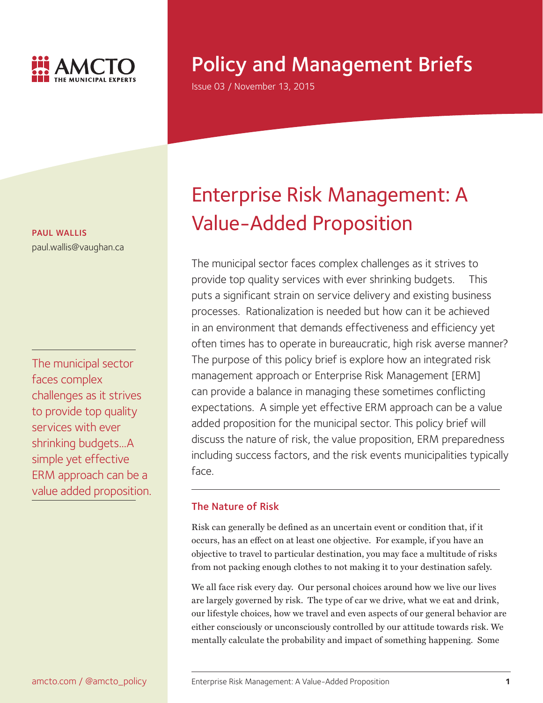

# Policy and Management Briefs

Issue 03 / November 13, 2015

PAUL WALLIS paul.wallis@vaughan.ca

The municipal sector faces complex challenges as it strives to provide top quality services with ever shrinking budgets...A simple yet effective ERM approach can be a value added proposition.

# Enterprise Risk Management: A Value-Added Proposition

The municipal sector faces complex challenges as it strives to provide top quality services with ever shrinking budgets. This puts a significant strain on service delivery and existing business processes. Rationalization is needed but how can it be achieved in an environment that demands effectiveness and efficiency yet often times has to operate in bureaucratic, high risk averse manner? The purpose of this policy brief is explore how an integrated risk management approach or Enterprise Risk Management [ERM] can provide a balance in managing these sometimes conflicting expectations. A simple yet effective ERM approach can be a value added proposition for the municipal sector. This policy brief will discuss the nature of risk, the value proposition, ERM preparedness including success factors, and the risk events municipalities typically face.

# The Nature of Risk

Risk can generally be defined as an uncertain event or condition that, if it occurs, has an effect on at least one objective. For example, if you have an objective to travel to particular destination, you may face a multitude of risks from not packing enough clothes to not making it to your destination safely.

We all face risk every day. Our personal choices around how we live our lives are largely governed by risk. The type of car we drive, what we eat and drink, our lifestyle choices, how we travel and even aspects of our general behavior are either consciously or unconsciously controlled by our attitude towards risk. We mentally calculate the probability and impact of something happening. Some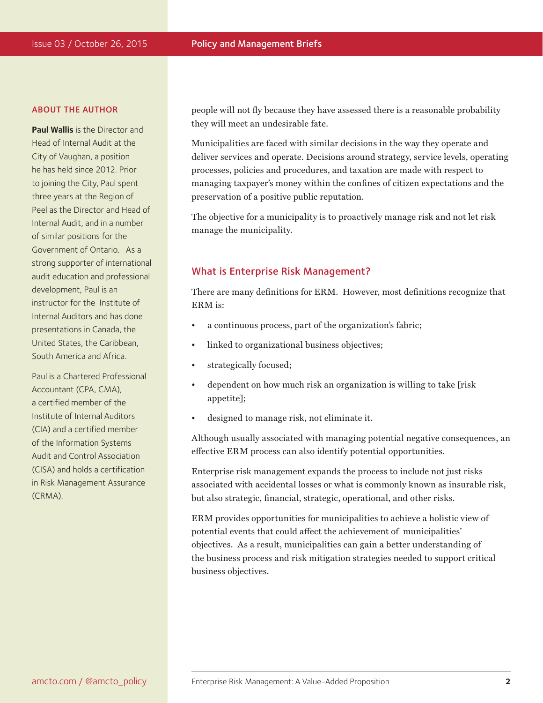#### ABOUT THE AUTHOR

**Paul Wallis** is the Director and Head of Internal Audit at the City of Vaughan, a position he has held since 2012. Prior to joining the City, Paul spent three years at the Region of Peel as the Director and Head of Internal Audit, and in a number of similar positions for the Government of Ontario. As a strong supporter of international audit education and professional development, Paul is an instructor for the Institute of Internal Auditors and has done presentations in Canada, the United States, the Caribbean, South America and Africa.

Paul is a Chartered Professional Accountant (CPA, CMA), a certified member of the Institute of Internal Auditors (CIA) and a certified member of the Information Systems Audit and Control Association (CISA) and holds a certification in Risk Management Assurance (CRMA).

people will not fly because they have assessed there is a reasonable probability they will meet an undesirable fate.

Municipalities are faced with similar decisions in the way they operate and deliver services and operate. Decisions around strategy, service levels, operating processes, policies and procedures, and taxation are made with respect to managing taxpayer's money within the confines of citizen expectations and the preservation of a positive public reputation.

The objective for a municipality is to proactively manage risk and not let risk manage the municipality.

# What is Enterprise Risk Management?

There are many definitions for ERM. However, most definitions recognize that ERM is:

- a continuous process, part of the organization's fabric;
- linked to organizational business objectives;
- strategically focused;
- dependent on how much risk an organization is willing to take [risk appetite];
- designed to manage risk, not eliminate it.

Although usually associated with managing potential negative consequences, an effective ERM process can also identify potential opportunities.

Enterprise risk management expands the process to include not just risks associated with accidental losses or what is commonly known as insurable risk, but also strategic, financial, strategic, operational, and other risks.

ERM provides opportunities for municipalities to achieve a holistic view of potential events that could affect the achievement of municipalities' objectives. As a result, municipalities can gain a better understanding of the business process and risk mitigation strategies needed to support critical business objectives.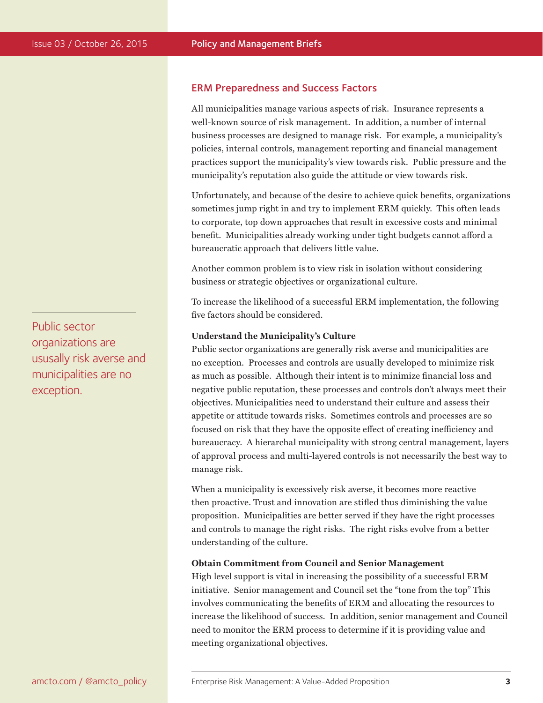# ERM Preparedness and Success Factors

All municipalities manage various aspects of risk. Insurance represents a well-known source of risk management. In addition, a number of internal business processes are designed to manage risk. For example, a municipality's policies, internal controls, management reporting and financial management practices support the municipality's view towards risk. Public pressure and the municipality's reputation also guide the attitude or view towards risk.

Unfortunately, and because of the desire to achieve quick benefits, organizations sometimes jump right in and try to implement ERM quickly. This often leads to corporate, top down approaches that result in excessive costs and minimal benefit. Municipalities already working under tight budgets cannot afford a bureaucratic approach that delivers little value.

Another common problem is to view risk in isolation without considering business or strategic objectives or organizational culture.

To increase the likelihood of a successful ERM implementation, the following five factors should be considered.

## **Understand the Municipality's Culture**

Public sector organizations are generally risk averse and municipalities are no exception. Processes and controls are usually developed to minimize risk as much as possible. Although their intent is to minimize financial loss and negative public reputation, these processes and controls don't always meet their objectives. Municipalities need to understand their culture and assess their appetite or attitude towards risks. Sometimes controls and processes are so focused on risk that they have the opposite effect of creating inefficiency and bureaucracy. A hierarchal municipality with strong central management, layers of approval process and multi-layered controls is not necessarily the best way to manage risk.

When a municipality is excessively risk averse, it becomes more reactive then proactive. Trust and innovation are stifled thus diminishing the value proposition. Municipalities are better served if they have the right processes and controls to manage the right risks. The right risks evolve from a better understanding of the culture.

## **Obtain Commitment from Council and Senior Management**

High level support is vital in increasing the possibility of a successful ERM initiative. Senior management and Council set the "tone from the top" This involves communicating the benefits of ERM and allocating the resources to increase the likelihood of success. In addition, senior management and Council need to monitor the ERM process to determine if it is providing value and meeting organizational objectives.

Public sector organizations are ususally risk averse and municipalities are no exception.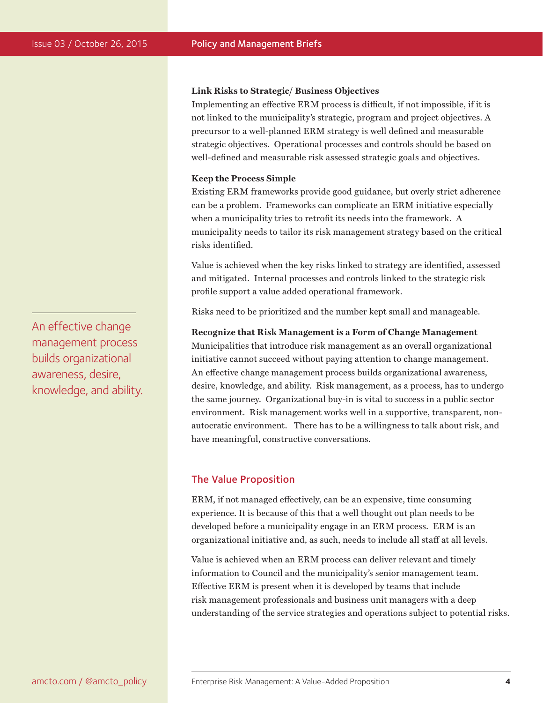#### **Link Risks to Strategic/ Business Objectives**

Implementing an effective ERM process is difficult, if not impossible, if it is not linked to the municipality's strategic, program and project objectives. A precursor to a well-planned ERM strategy is well defined and measurable strategic objectives. Operational processes and controls should be based on well-defined and measurable risk assessed strategic goals and objectives.

## **Keep the Process Simple**

Existing ERM frameworks provide good guidance, but overly strict adherence can be a problem. Frameworks can complicate an ERM initiative especially when a municipality tries to retrofit its needs into the framework. A municipality needs to tailor its risk management strategy based on the critical risks identified.

Value is achieved when the key risks linked to strategy are identified, assessed and mitigated. Internal processes and controls linked to the strategic risk profile support a value added operational framework.

Risks need to be prioritized and the number kept small and manageable.

## **Recognize that Risk Management is a Form of Change Management**

Municipalities that introduce risk management as an overall organizational initiative cannot succeed without paying attention to change management. An effective change management process builds organizational awareness, desire, knowledge, and ability. Risk management, as a process, has to undergo the same journey. Organizational buy-in is vital to success in a public sector environment. Risk management works well in a supportive, transparent, nonautocratic environment. There has to be a willingness to talk about risk, and have meaningful, constructive conversations.

# The Value Proposition

ERM, if not managed effectively, can be an expensive, time consuming experience. It is because of this that a well thought out plan needs to be developed before a municipality engage in an ERM process. ERM is an organizational initiative and, as such, needs to include all staff at all levels.

Value is achieved when an ERM process can deliver relevant and timely information to Council and the municipality's senior management team. Effective ERM is present when it is developed by teams that include risk management professionals and business unit managers with a deep understanding of the service strategies and operations subject to potential risks.

An effective change management process builds organizational awareness, desire, knowledge, and ability.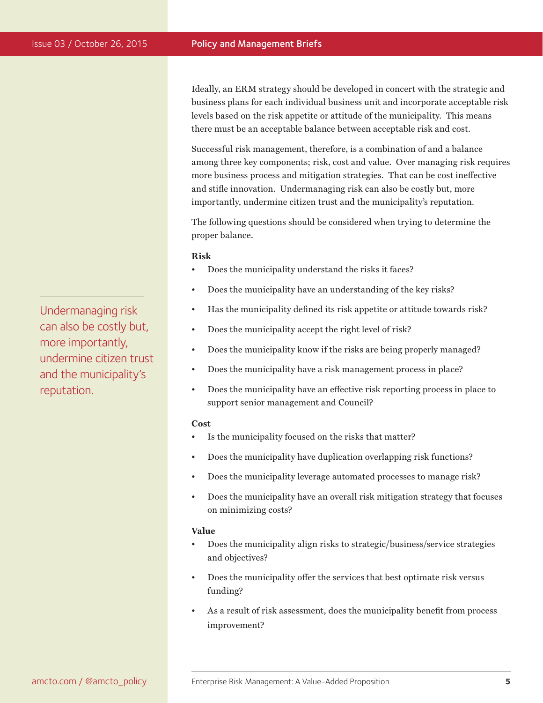Ideally, an ERM strategy should be developed in concert with the strategic and business plans for each individual business unit and incorporate acceptable risk levels based on the risk appetite or attitude of the municipality. This means there must be an acceptable balance between acceptable risk and cost.

Successful risk management, therefore, is a combination of and a balance among three key components; risk, cost and value. Over managing risk requires more business process and mitigation strategies. That can be cost ineffective and stifle innovation. Undermanaging risk can also be costly but, more importantly, undermine citizen trust and the municipality's reputation.

The following questions should be considered when trying to determine the proper balance.

## **Risk**

- Does the municipality understand the risks it faces?
- Does the municipality have an understanding of the key risks?
- Has the municipality defined its risk appetite or attitude towards risk?
- Does the municipality accept the right level of risk?
- Does the municipality know if the risks are being properly managed?
- Does the municipality have a risk management process in place?
- Does the municipality have an effective risk reporting process in place to support senior management and Council?

#### **Cost**

- Is the municipality focused on the risks that matter?
- Does the municipality have duplication overlapping risk functions?
- Does the municipality leverage automated processes to manage risk?
- Does the municipality have an overall risk mitigation strategy that focuses on minimizing costs?

## **Value**

- Does the municipality align risks to strategic/business/service strategies and objectives?
- Does the municipality offer the services that best optimate risk versus funding?
- As a result of risk assessment, does the municipality benefit from process improvement?

Undermanaging risk can also be costly but, more importantly, undermine citizen trust and the municipality's reputation.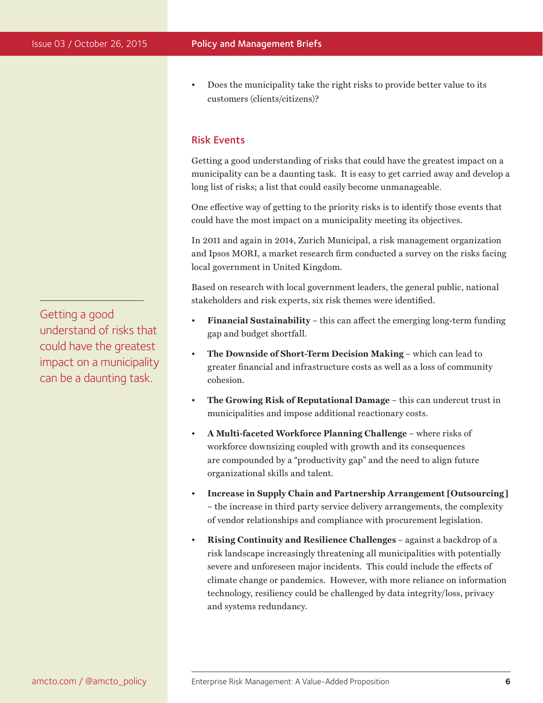• Does the municipality take the right risks to provide better value to its customers (clients/citizens)?

# Risk Events

Getting a good understanding of risks that could have the greatest impact on a municipality can be a daunting task. It is easy to get carried away and develop a long list of risks; a list that could easily become unmanageable.

One effective way of getting to the priority risks is to identify those events that could have the most impact on a municipality meeting its objectives.

In 2011 and again in 2014, Zurich Municipal, a risk management organization and Ipsos MORI, a market research firm conducted a survey on the risks facing local government in United Kingdom.

Based on research with local government leaders, the general public, national stakeholders and risk experts, six risk themes were identified.

- **Financial Sustainability** this can affect the emerging long-term funding gap and budget shortfall.
- **The Downside of Short-Term Decision Making**  which can lead to greater financial and infrastructure costs as well as a loss of community cohesion.
- **The Growing Risk of Reputational Damage** this can undercut trust in municipalities and impose additional reactionary costs.
- **A Multi-faceted Workforce Planning Challenge** where risks of workforce downsizing coupled with growth and its consequences are compounded by a "productivity gap" and the need to align future organizational skills and talent.
- **Increase in Supply Chain and Partnership Arrangement [Outsourcing]** – the increase in third party service delivery arrangements, the complexity of vendor relationships and compliance with procurement legislation.
- **Rising Continuity and Resilience Challenges**  against a backdrop of a risk landscape increasingly threatening all municipalities with potentially severe and unforeseen major incidents. This could include the effects of climate change or pandemics. However, with more reliance on information technology, resiliency could be challenged by data integrity/loss, privacy and systems redundancy.

Getting a good understand of risks that could have the greatest impact on a municipality can be a daunting task.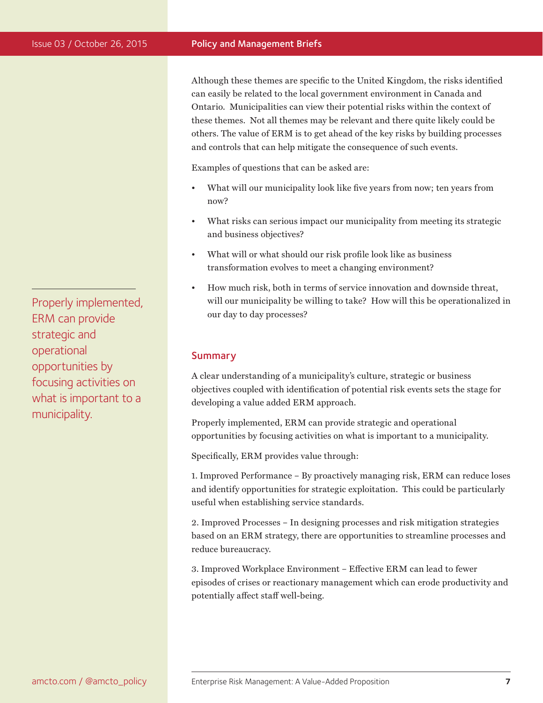## Issue 03 / October 26, 2015 **Policy and Management Briefs**

Although these themes are specific to the United Kingdom, the risks identified can easily be related to the local government environment in Canada and Ontario. Municipalities can view their potential risks within the context of these themes. Not all themes may be relevant and there quite likely could be others. The value of ERM is to get ahead of the key risks by building processes and controls that can help mitigate the consequence of such events.

Examples of questions that can be asked are:

- What will our municipality look like five years from now; ten years from now?
- What risks can serious impact our municipality from meeting its strategic and business objectives?
- What will or what should our risk profile look like as business transformation evolves to meet a changing environment?
- How much risk, both in terms of service innovation and downside threat, will our municipality be willing to take? How will this be operationalized in our day to day processes?

# Summary

A clear understanding of a municipality's culture, strategic or business objectives coupled with identification of potential risk events sets the stage for developing a value added ERM approach.

Properly implemented, ERM can provide strategic and operational opportunities by focusing activities on what is important to a municipality.

Specifically, ERM provides value through:

1. Improved Performance – By proactively managing risk, ERM can reduce loses and identify opportunities for strategic exploitation. This could be particularly useful when establishing service standards.

2. Improved Processes – In designing processes and risk mitigation strategies based on an ERM strategy, there are opportunities to streamline processes and reduce bureaucracy.

3. Improved Workplace Environment – Effective ERM can lead to fewer episodes of crises or reactionary management which can erode productivity and potentially affect staff well-being.

Properly implemented, ERM can provide strategic and operational opportunities by focusing activities on what is important to a municipality.